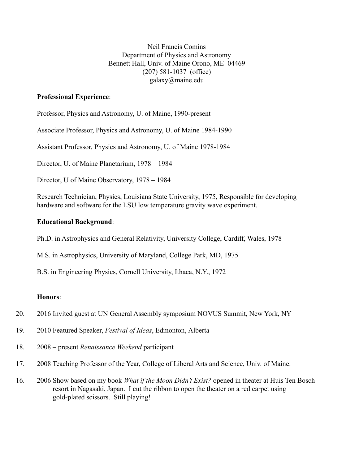Neil Francis Comins Department of Physics and Astronomy Bennett Hall, Univ. of Maine Orono, ME 04469 (207) 581-1037 (office) galaxy@maine.edu

# **Professional Experience**:

Professor, Physics and Astronomy, U. of Maine, 1990-present

Associate Professor, Physics and Astronomy, U. of Maine 1984-1990

Assistant Professor, Physics and Astronomy, U. of Maine 1978-1984

Director, U. of Maine Planetarium, 1978 – 1984

Director, U of Maine Observatory, 1978 – 1984

Research Technician, Physics, Louisiana State University, 1975, Responsible for developing hardware and software for the LSU low temperature gravity wave experiment.

## **Educational Background**:

Ph.D. in Astrophysics and General Relativity, University College, Cardiff, Wales, 1978

M.S. in Astrophysics, University of Maryland, College Park, MD, 1975

B.S. in Engineering Physics, Cornell University, Ithaca, N.Y., 1972

# **Honors**:

- 20. 2016 Invited guest at UN General Assembly symposium NOVUS Summit, New York, NY
- 19. 2010 Featured Speaker, *Festival of Ideas*, Edmonton, Alberta
- 18. 2008 present *Renaissance Weekend* participant
- 17. 2008 Teaching Professor of the Year, College of Liberal Arts and Science, Univ. of Maine.
- 16. 2006 Show based on my book *What if the Moon Didn't Exist?* opened in theater at Huis Ten Bosch resort in Nagasaki, Japan. I cut the ribbon to open the theater on a red carpet using gold-plated scissors. Still playing!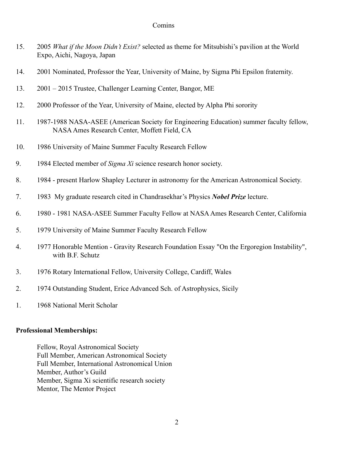- 15. 2005 *What if the Moon Didn't Exist?* selected as theme for Mitsubishi's pavilion at the World Expo, Aichi, Nagoya, Japan
- 14. 2001 Nominated, Professor the Year, University of Maine, by Sigma Phi Epsilon fraternity.
- 13. 2001 2015 Trustee, Challenger Learning Center, Bangor, ME
- 12. 2000 Professor of the Year, University of Maine, elected by Alpha Phi sorority
- 11. 1987-1988 NASA-ASEE (American Society for Engineering Education) summer faculty fellow, NASAAmes Research Center, Moffett Field, CA
- 10. 1986 University of Maine Summer Faculty Research Fellow
- 9. 1984 Elected member of *Sigma Xi* science research honor society.
- 8. 1984 present Harlow Shapley Lecturer in astronomy for the American Astronomical Society.
- 7. 1983 My graduate research cited in Chandrasekhar's Physics *Nobel Prize* lecture.
- 6. 1980 1981 NASA-ASEE Summer Faculty Fellow at NASA Ames Research Center, California
- 5. 1979 University of Maine Summer Faculty Research Fellow
- 4. 1977 Honorable Mention Gravity Research Foundation Essay "On the Ergoregion Instability", with B.F. Schutz
- 3. 1976 Rotary International Fellow, University College, Cardiff, Wales
- 2. 1974 Outstanding Student, Erice Advanced Sch. of Astrophysics, Sicily
- 1. 1968 National Merit Scholar

## **Professional Memberships:**

Fellow, Royal Astronomical Society Full Member, American Astronomical Society Full Member, International Astronomical Union Member, Author's Guild Member, Sigma Xi scientific research society Mentor, The Mentor Project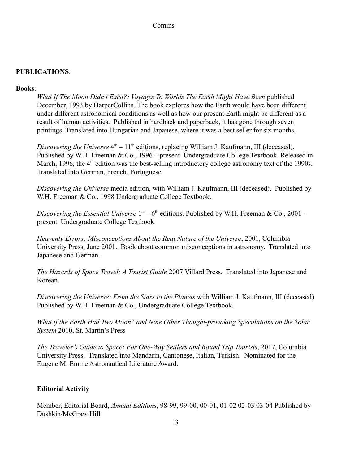## **PUBLICATIONS**:

## **Books**:

*What If The Moon Didn't Exist?: Voyages To Worlds The Earth Might Have Been* published December, 1993 by HarperCollins. The book explores how the Earth would have been different under different astronomical conditions as well as how our present Earth might be different as a result of human activities. Published in hardback and paperback, it has gone through seven printings. Translated into Hungarian and Japanese, where it was a best seller for six months.

Discovering the Universe  $4<sup>th</sup> - 11<sup>th</sup>$  editions, replacing William J. Kaufmann, III (deceased). Published by W.H. Freeman & Co., 1996 – present Undergraduate College Textbook. Released in March, 1996, the 4<sup>th</sup> edition was the best-selling introductory college astronomy text of the 1990s. Translated into German, French, Portuguese.

*Discovering the Universe* media edition, with William J. Kaufmann, III (deceased). Published by W.H. Freeman & Co., 1998 Undergraduate College Textbook.

Discovering the Essential Universe  $1<sup>st</sup> - 6<sup>th</sup>$  editions. Published by W.H. Freeman & Co., 2001 present, Undergraduate College Textbook.

*Heavenly Errors: Misconceptions About the Real Nature of the Universe*, 2001, Columbia University Press, June 2001. Book about common misconceptions in astronomy. Translated into Japanese and German.

*The Hazards of Space Travel: A Tourist Guide* 2007 Villard Press. Translated into Japanese and Korean.

*Discovering the Universe: From the Stars to the Planets* with William J. Kaufmann, III (deceased) Published by W.H. Freeman & Co., Undergraduate College Textbook.

*What if the Earth Had Two Moon? and Nine Other Thought-provoking Speculations on the Solar System* 2010, St. Martin's Press

*The Traveler's Guide to Space: For One-Way Settlers and Round Trip Tourists*, 2017, Columbia University Press. Translated into Mandarin, Cantonese, Italian, Turkish. Nominated for the Eugene M. Emme Astronautical Literature Award.

# **Editorial Activity**

Member, Editorial Board, *Annual Editions*, 98-99, 99-00, 00-01, 01-02 02-03 03-04 Published by Dushkin/McGraw Hill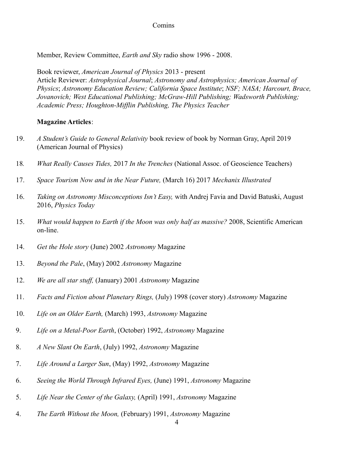Member, Review Committee, *Earth and Sky* radio show 1996 - 2008.

Book reviewer, *American Journal of Physics* 2013 - present Article Reviewer: *Astrophysical Journal*; *Astronomy and Astrophysics; American Journal of Physics*; *Astronomy Education Review; California Space Institute*; *NSF; NASA; Harcourt, Brace, Jovanovich; West Educational Publishing; McGraw-Hill Publishing; Wadsworth Publishing; Academic Press; Houghton-Mifflin Publishing, The Physics Teacher*

## **Magazine Articles**:

- 19. *A Student's Guide to General Relativity* book review of book by Norman Gray, April 2019 (American Journal of Physics)
- 18*. What Really Causes Tides,* 2017 *In the Trenches* (National Assoc. of Geoscience Teachers)
- 17. *Space Tourism Now and in the Near Future,* (March 16) 2017 *Mechanix Illustrated*
- 16. *Taking on Astronomy Misconceptions Isn't Easy,* with Andrej Favia and David Batuski, August 2016, *Physics Today*
- 15. *What would happen to Earth if the Moon was only half as massive?* 2008, Scientific American on-line.
- 14. *Get the Hole story* (June) 2002 *Astronomy* Magazine
- 13. *Beyond the Pale*, (May) 2002 *Astronomy* Magazine
- 12. *We are all star stuff,* (January) 2001 *Astronomy* Magazine
- 11. *Facts and Fiction about Planetary Rings,* (July) 1998 (cover story) *Astronomy* Magazine
- 10. *Life on an Older Earth,* (March) 1993, *Astronomy* Magazine
- 9. *Life on a Metal-Poor Earth*, (October) 1992, *Astronomy* Magazine
- 8. *A New Slant On Earth*, (July) 1992, *Astronomy* Magazine
- 7. *Life Around a Larger Sun*, (May) 1992, *Astronomy* Magazine
- 6. *Seeing the World Through Infrared Eyes,* (June) 1991, *Astronomy* Magazine
- 5. *Life Near the Center of the Galaxy,* (April) 1991, *Astronomy* Magazine
- 4. *The Earth Without the Moon,* (February) 1991, *Astronomy* Magazine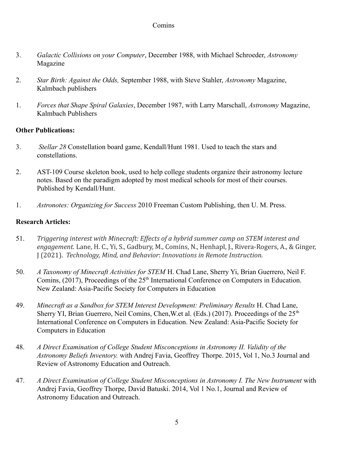- 3. *Galactic Collisions on your Computer*, December 1988, with Michael Schroeder, *Astronomy* Magazine
- 2. *Star Birth: Against the Odds,* September 1988, with Steve Stahler, *Astronomy* Magazine, Kalmbach publishers
- 1. *Forces that Shape Spiral Galaxies*, December 1987, with Larry Marschall, *Astronomy* Magazine, Kalmbach Publishers

# **Other Publications:**

- 3. *Stellar 28* Constellation board game, Kendall/Hunt 1981. Used to teach the stars and constellations.
- 2. AST-109 Course skeleton book, used to help college students organize their astronomy lecture notes. Based on the paradigm adopted by most medical schools for most of their courses. Published by Kendall/Hunt.
- 1. *Astronotes: Organizing for Success* 2010 Freeman Custom Publishing, then U. M. Press.

# **Research Articles:**

- 51. *Triggering interest with Minecraft: Effects of a hybrid summer camp on STEM interest and engagement.* Lane, H. C., Yi, S., Gadbury, M., Comins, N., Henhapl, J., Rivera-Rogers, A., & Ginger, J (2021). *Technology, Mind, and Behavior*: *Innovations in Remote Instruction.*
- 50. *A Taxonomy of Minecraft Activities for STEM* H. Chad Lane, Sherry Yi, Brian Guerrero, Neil F. Comins, (2017), Proceedings of the 25<sup>th</sup> International Conference on Computers in Education. New Zealand: Asia-Pacific Society for Computers in Education
- 49. *Minecraft as a Sandbox for STEM Interest Development: Preliminary Results* H. Chad Lane, Sherry YI, Brian Guerrero, Neil Comins, Chen, W.et al. (Eds.) (2017). Proceedings of the  $25<sup>th</sup>$ International Conference on Computers in Education. New Zealand: Asia-Pacific Society for Computers in Education
- 48. *A Direct Examination of College Student Misconceptions in Astronomy II. Validity of the Astronomy Beliefs Inventory.* with Andrej Favia, Geoffrey Thorpe. 2015, Vol 1, No.3 Journal and Review of Astronomy Education and Outreach.
- 47. *A Direct Examination of College Student Misconceptions in Astronomy I. The New Instrument* with Andrej Favia, Geoffrey Thorpe, David Batuski. 2014, Vol 1 No.1, Journal and Review of Astronomy Education and Outreach.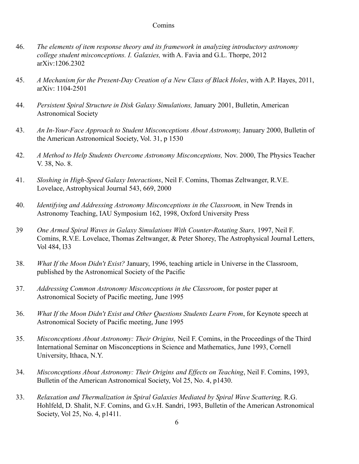- 46. *The elements of item response theory and its framework in analyzing introductory astronomy college student misconceptions. I. Galaxies,* with A. Favia and G.L. Thorpe, 2012 arXiv:1206.2302
- 45. *A Mechanism for the Present-Day Creation of a New Class of Black Holes*, with A.P. Hayes, 2011, arXiv: 1104-2501
- 44. *Persistent Spiral Structure in Disk Galaxy Simulations,* January 2001, Bulletin, American Astronomical Society
- 43. *An In-Your-Face Approach to Student Misconceptions About Astronomy,* January 2000, Bulletin of the American Astronomical Society, Vol. 31, p 1530
- 42. *A Method to Help Students Overcome Astronomy Misconceptions,* Nov. 2000, The Physics Teacher V. 38, No. 8.
- 41. *Sloshing in High-Speed Galaxy Interactions*, Neil F. Comins, Thomas Zeltwanger, R.V.E. Lovelace, Astrophysical Journal 543, 669, 2000
- 40. *Identifying and Addressing Astronomy Misconceptions in the Classroom,* in New Trends in Astronomy Teaching, IAU Symposium 162, 1998, Oxford University Press
- 39 *One Armed Spiral Waves in Galaxy Simulations With Counter-Rotating Stars,* 1997, Neil F. Comins, R.V.E. Lovelace, Thomas Zeltwanger, & Peter Shorey, The Astrophysical Journal Letters, Vol 484, l33
- 38. *What If the Moon Didn't Exist?* January, 1996, teaching article in Universe in the Classroom, published by the Astronomical Society of the Pacific
- 37. *Addressing Common Astronomy Misconceptions in the Classroom*, for poster paper at Astronomical Society of Pacific meeting, June 1995
- 36. *What If the Moon Didn't Exist and Other Questions Students Learn From*, for Keynote speech at Astronomical Society of Pacific meeting, June 1995
- 35. *Misconceptions About Astronomy: Their Origins,* Neil F. Comins, in the Proceedings of the Third International Seminar on Misconceptions in Science and Mathematics, June 1993, Cornell University, Ithaca, N.Y.
- 34. *Misconceptions About Astronomy: Their Origins and Effects on Teaching*, Neil F. Comins, 1993, Bulletin of the American Astronomical Society, Vol 25, No. 4, p1430.
- 33. *Relaxation and Thermalization in Spiral Galaxies Mediated by Spiral Wave Scattering,* R.G. Hohlfeld, D. Shalit, N.F. Comins, and G.v.H. Sandri, 1993, Bulletin of the American Astronomical Society, Vol 25, No. 4, p1411.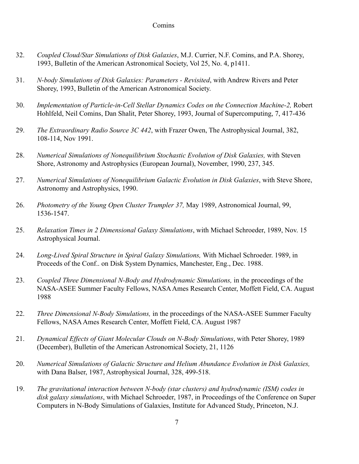- 32. *Coupled Cloud/Star Simulations of Disk Galaxies*, M.J. Currier, N.F. Comins, and P.A. Shorey, 1993, Bulletin of the American Astronomical Society, Vol 25, No. 4, p1411.
- 31. *N-body Simulations of Disk Galaxies: Parameters Revisited*, with Andrew Rivers and Peter Shorey, 1993, Bulletin of the American Astronomical Society.
- 30. *Implementation of Particle-in-Cell Stellar Dynamics Codes on the Connection Machine-2,* Robert Hohlfeld, Neil Comins, Dan Shalit, Peter Shorey, 1993, Journal of Supercomputing, 7, 417-436
- 29. *The Extraordinary Radio Source 3C 442*, with Frazer Owen, The Astrophysical Journal, 382, 108-114, Nov 1991.
- 28. *Numerical Simulations of Nonequilibrium Stochastic Evolution of Disk Galaxies,* with Steven Shore, Astronomy and Astrophysics (European Journal), November, 1990, 237, 345.
- 27. *Numerical Simulations of Nonequilibrium Galactic Evolution in Disk Galaxies*, with Steve Shore, Astronomy and Astrophysics, 1990.
- 26. *Photometry of the Young Open Cluster Trumpler 37,* May 1989, Astronomical Journal, 99, 1536-1547.
- 25. *Relaxation Times in 2 Dimensional Galaxy Simulations*, with Michael Schroeder, 1989, Nov. 15 Astrophysical Journal.
- 24. *Long-Lived Spiral Structure in Spiral Galaxy Simulations,* With Michael Schroeder. 1989, in Proceeds of the Conf.. on Disk System Dynamics, Manchester, Eng., Dec. 1988.
- 23. *Coupled Three Dimensional N-Body and Hydrodynamic Simulations,* in the proceedings of the NASA-ASEE Summer Faculty Fellows, NASA Ames Research Center, Moffett Field, CA. August 1988
- 22. *Three Dimensional N-Body Simulations,* in the proceedings of the NASA-ASEE Summer Faculty Fellows, NASA Ames Research Center, Moffett Field, CA. August 1987
- 21. *Dynamical Effects of Giant Molecular Clouds on N-Body Simulations*, with Peter Shorey, 1989 (December), Bulletin of the American Astronomical Society, 21, 1126
- 20. *Numerical Simulations of Galactic Structure and Helium Abundance Evolution in Disk Galaxies,* with Dana Balser, 1987, Astrophysical Journal, 328, 499-518.
- 19. *The gravitational interaction between N-body (star clusters) and hydrodynamic (ISM) codes in disk galaxy simulations*, with Michael Schroeder, 1987, in Proceedings of the Conference on Super Computers in N-Body Simulations of Galaxies, Institute for Advanced Study, Princeton, N.J.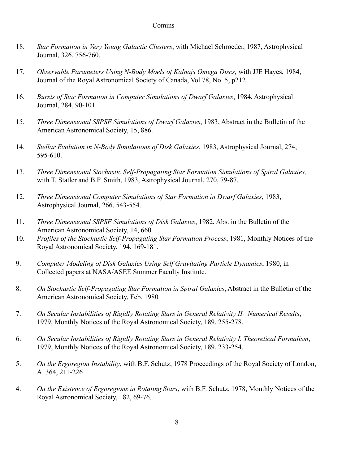- 18. *Star Formation in Very Young Galactic Clusters*, with Michael Schroeder, 1987, Astrophysical Journal, 326, 756-760.
- 17. *Observable Parameters Using N-Body Moels of Kalnajs Omega Discs,* with JJE Hayes, 1984, Journal of the Royal Astronomical Society of Canada, Vol 78, No. 5, p212
- 16. *Bursts of Star Formation in Computer Simulations of Dwarf Galaxies*, 1984, Astrophysical Journal, 284, 90-101.
- 15. *Three Dimensional SSPSF Simulations of Dwarf Galaxies*, 1983, Abstract in the Bulletin of the American Astronomical Society, 15, 886.
- 14. *Stellar Evolution in N-Body Simulations of Disk Galaxies*, 1983, Astrophysical Journal, 274, 595-610.
- 13. *Three Dimensional Stochastic Self-Propagating Star Formation Simulations of Spiral Galaxies,* with T. Statler and B.F. Smith, 1983, Astrophysical Journal, 270, 79-87.
- 12. *Three Dimensional Computer Simulations of Star Formation in Dwarf Galaxies,* 1983, Astrophysical Journal, 266, 543-554.
- 11. *Three Dimensional SSPSF Simulations of Disk Galaxies*, 1982, Abs. in the Bulletin of the American Astronomical Society, 14, 660.
- 10. *Profiles of the Stochastic Self-Propagating Star Formation Process*, 1981, Monthly Notices of the Royal Astronomical Society, 194, 169-181.
- 9. *Computer Modeling of Disk Galaxies Using Self Gravitating Particle Dynamics*, 1980, in Collected papers at NASA/ASEE Summer Faculty Institute.
- 8. *On Stochastic Self-Propagating Star Formation in Spiral Galaxies*, Abstract in the Bulletin of the American Astronomical Society, Feb. 1980
- 7. *On Secular Instabilities of Rigidly Rotating Stars in General Relativity II. Numerical Results*, 1979, Monthly Notices of the Royal Astronomical Society, 189, 255-278.
- 6. *On Secular Instabilities of Rigidly Rotating Stars in General Relativity I. Theoretical Formalism*, 1979, Monthly Notices of the Royal Astronomical Society, 189, 233-254.
- 5. *On the Ergoregion Instability*, with B.F. Schutz, 1978 Proceedings of the Royal Society of London, A. 364, 211-226
- 4. *On the Existence of Ergoregions in Rotating Stars*, with B.F. Schutz, 1978, Monthly Notices of the Royal Astronomical Society, 182, 69-76.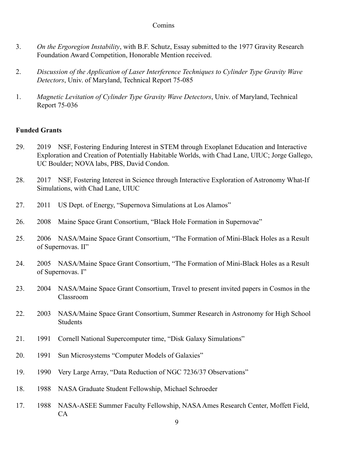- 3. *On the Ergoregion Instability*, with B.F. Schutz, Essay submitted to the 1977 Gravity Research Foundation Award Competition, Honorable Mention received.
- 2. *Discussion of the Application of Laser Interference Techniques to Cylinder Type Gravity Wave Detectors*, Univ. of Maryland, Technical Report 75-085
- 1. *Magnetic Levitation of Cylinder Type Gravity Wave Detectors*, Univ. of Maryland, Technical Report 75-036

# **Funded Grants**

- 29. 2019 NSF, Fostering Enduring Interest in STEM through Exoplanet Education and Interactive Exploration and Creation of Potentially Habitable Worlds, with Chad Lane, UIUC; Jorge Gallego, UC Boulder; NOVA labs, PBS, David Condon.
- 28. 2017 NSF, Fostering Interest in Science through Interactive Exploration of Astronomy What-If Simulations, with Chad Lane, UIUC
- 27. 2011 US Dept. of Energy, "Supernova Simulations at Los Alamos"
- 26. 2008 Maine Space Grant Consortium, "Black Hole Formation in Supernovae"
- 25. 2006 NASA/Maine Space Grant Consortium, "The Formation of Mini-Black Holes as a Result of Supernovas. II"
- 24. 2005 NASA/Maine Space Grant Consortium, "The Formation of Mini-Black Holes as a Result of Supernovas. I"
- 23. 2004 NASA/Maine Space Grant Consortium, Travel to present invited papers in Cosmos in the Classroom
- 22. 2003 NASA/Maine Space Grant Consortium, Summer Research in Astronomy for High School **Students**
- 21. 1991 Cornell National Supercomputer time, "Disk Galaxy Simulations"
- 20. 1991 Sun Microsystems "Computer Models of Galaxies"
- 19. 1990 Very Large Array, "Data Reduction of NGC 7236/37 Observations"
- 18. 1988 NASA Graduate Student Fellowship, Michael Schroeder
- 17. 1988 NASA-ASEE Summer Faculty Fellowship, NASA Ames Research Center, Moffett Field, CA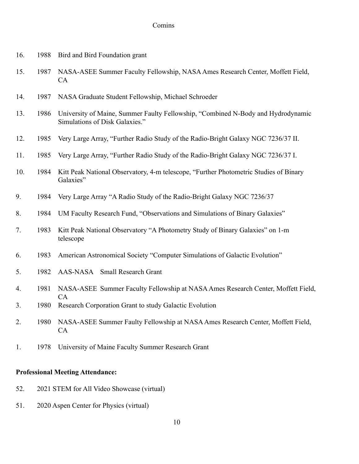| 16. | 1988 | Bird and Bird Foundation grant                                                                                     |
|-----|------|--------------------------------------------------------------------------------------------------------------------|
| 15. | 1987 | NASA-ASEE Summer Faculty Fellowship, NASA Ames Research Center, Moffett Field,<br><b>CA</b>                        |
| 14. | 1987 | NASA Graduate Student Fellowship, Michael Schroeder                                                                |
| 13. | 1986 | University of Maine, Summer Faulty Fellowship, "Combined N-Body and Hydrodynamic<br>Simulations of Disk Galaxies." |
| 12. | 1985 | Very Large Array, "Further Radio Study of the Radio-Bright Galaxy NGC 7236/37 II.                                  |
| 11. | 1985 | Very Large Array, "Further Radio Study of the Radio-Bright Galaxy NGC 7236/37 I.                                   |
| 10. | 1984 | Kitt Peak National Observatory, 4-m telescope, "Further Photometric Studies of Binary<br>Galaxies"                 |
| 9.  | 1984 | Very Large Array "A Radio Study of the Radio-Bright Galaxy NGC 7236/37                                             |
| 8.  | 1984 | UM Faculty Research Fund, "Observations and Simulations of Binary Galaxies"                                        |
| 7.  | 1983 | Kitt Peak National Observatory "A Photometry Study of Binary Galaxies" on 1-m<br>telescope                         |
| 6.  | 1983 | American Astronomical Society "Computer Simulations of Galactic Evolution"                                         |
| 5.  | 1982 | AAS-NASA Small Research Grant                                                                                      |
| 4.  | 1981 | NASA-ASEE Summer Faculty Fellowship at NASA Ames Research Center, Moffett Field,                                   |
| 3.  | 1980 | CA<br>Research Corporation Grant to study Galactic Evolution                                                       |
| 2.  | 1980 | NASA-ASEE Summer Faulty Fellowship at NASA Ames Research Center, Moffett Field,<br><b>CA</b>                       |
| 1.  | 1978 | University of Maine Faculty Summer Research Grant                                                                  |
|     |      |                                                                                                                    |

# **Professional Meeting Attendance:**

- 52. 2021 STEM for All Video Showcase (virtual)
- 51. 2020 Aspen Center for Physics (virtual)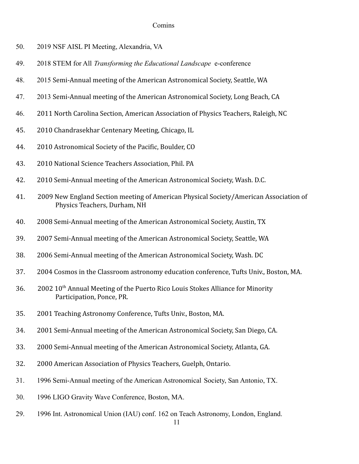- 50. 2019 NSF AISL PI Meeting, Alexandria, VA
- 49. 2018 STEM for All *Transforming the Educational Landscape* e-conference
- 48. 2015 Semi-Annual meeting of the American Astronomical Society, Seattle, WA
- 47. 2013 Semi-Annual meeting of the American Astronomical Society, Long Beach, CA
- 46. 2011 North Carolina Section, American Association of Physics Teachers, Raleigh, NC
- 45. 2010 Chandrasekhar Centenary Meeting, Chicago, IL
- 44. 2010 Astronomical Society of the Pacific, Boulder, CO
- 43. 2010 National Science Teachers Association, Phil. PA
- 42. 2010 Semi-Annual meeting of the American Astronomical Society, Wash. D.C.
- 41. 2009 New England Section meeting of American Physical Society/American Association of Physics Teachers, Durham, NH
- 40. 2008 Semi-Annual meeting of the American Astronomical Society, Austin, TX
- 39. 2007 Semi-Annual meeting of the American Astronomical Society, Seattle, WA
- 38. 2006 Semi-Annual meeting of the American Astronomical Society, Wash. DC
- 37. 2004 Cosmos in the Classroom astronomy education conference, Tufts Univ., Boston, MA.
- $36.$  2002  $10<sup>th</sup>$  Annual Meeting of the Puerto Rico Louis Stokes Alliance for Minority Participation, Ponce, PR.
- 35. 2001 Teaching Astronomy Conference, Tufts Univ., Boston, MA.
- 34. 2001 Semi-Annual meeting of the American Astronomical Society, San Diego, CA.
- 33. 2000 Semi-Annual meeting of the American Astronomical Society, Atlanta, GA.
- 32. 2000 American Association of Physics Teachers, Guelph, Ontario.
- 31. 1996 Semi-Annual meeting of the American Astronomical Society, San Antonio, TX.
- 30. 1996 LIGO Gravity Wave Conference, Boston, MA.
- 29. 1996 Int. Astronomical Union (IAU) conf. 162 on Teach Astronomy, London, England.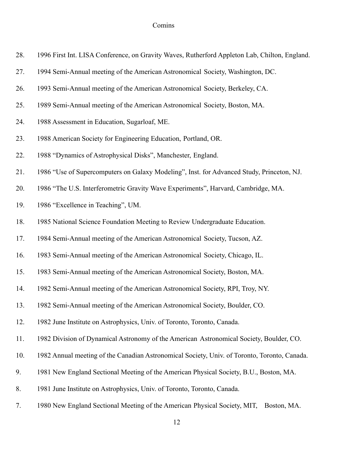| 28. | 1996 First Int. LISA Conference, on Gravity Waves, Rutherford Appleton Lab, Chilton, England. |
|-----|-----------------------------------------------------------------------------------------------|
| 27. | 1994 Semi-Annual meeting of the American Astronomical Society, Washington, DC.                |
| 26. | 1993 Semi-Annual meeting of the American Astronomical Society, Berkeley, CA.                  |
| 25. | 1989 Semi-Annual meeting of the American Astronomical Society, Boston, MA.                    |
| 24. | 1988 Assessment in Education, Sugarloaf, ME.                                                  |
| 23. | 1988 American Society for Engineering Education, Portland, OR.                                |
| 22. | 1988 "Dynamics of Astrophysical Disks", Manchester, England.                                  |
| 21. | 1986 "Use of Supercomputers on Galaxy Modeling", Inst. for Advanced Study, Princeton, NJ.     |
| 20. | 1986 "The U.S. Interferometric Gravity Wave Experiments", Harvard, Cambridge, MA.             |
| 19. | 1986 "Excellence in Teaching", UM.                                                            |
| 18. | 1985 National Science Foundation Meeting to Review Undergraduate Education.                   |
| 17. | 1984 Semi-Annual meeting of the American Astronomical Society, Tucson, AZ.                    |
| 16. | 1983 Semi-Annual meeting of the American Astronomical Society, Chicago, IL.                   |
| 15. | 1983 Semi-Annual meeting of the American Astronomical Society, Boston, MA.                    |
| 14. | 1982 Semi-Annual meeting of the American Astronomical Society, RPI, Troy, NY.                 |
| 13. | 1982 Semi-Annual meeting of the American Astronomical Society, Boulder, CO.                   |
| 12. | 1982 June Institute on Astrophysics, Univ. of Toronto, Toronto, Canada.                       |
| 11. | 1982 Division of Dynamical Astronomy of the American Astronomical Society, Boulder, CO.       |
| 10. | 1982 Annual meeting of the Canadian Astronomical Society, Univ. of Toronto, Toronto, Canada.  |
| 9.  | 1981 New England Sectional Meeting of the American Physical Society, B.U., Boston, MA.        |
| 8.  | 1981 June Institute on Astrophysics, Univ. of Toronto, Toronto, Canada.                       |
| 7.  | 1980 New England Sectional Meeting of the American Physical Society, MIT, Boston, MA.         |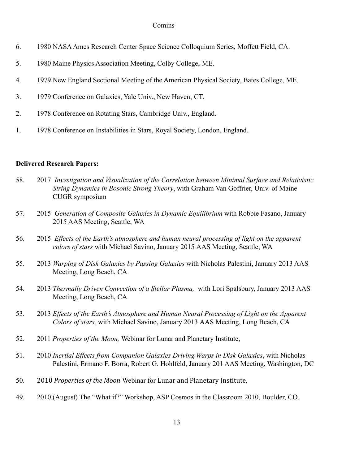- 6. 1980 NASAAmes Research Center Space Science Colloquium Series, Moffett Field, CA.
- 5. 1980 Maine Physics Association Meeting, Colby College, ME.
- 4. 1979 New England Sectional Meeting of the American Physical Society, Bates College, ME.
- 3. 1979 Conference on Galaxies, Yale Univ., New Haven, CT.
- 2. 1978 Conference on Rotating Stars, Cambridge Univ., England.
- 1. 1978 Conference on Instabilities in Stars, Royal Society, London, England.

## **Delivered Research Papers:**

- 58. 2017 *Investigation and Visualization of the Correlation between Minimal Surface and Relativistic String Dynamics in Bosonic Strong Theory*, with Graham Van Goffrier, Univ. of Maine CUGR symposium
- 57. 2015 *Generation of Composite Galaxies in Dynamic Equilibrium* with Robbie Fasano, January 2015 AAS Meeting, Seattle, WA
- 56. 2015 *Effects of the Earth's atmosphere and human neural processing of light on the apparent colors of stars* with Michael Savino, January 2015 AAS Meeting, Seattle, WA
- 55. 2013 *Warping of Disk Galaxies by Passing Galaxies* with Nicholas Palestini, January 2013 AAS Meeting, Long Beach, CA
- 54. 2013 *Thermally Driven Convection of a Stellar Plasma,* with Lori Spalsbury, January 2013 AAS Meeting, Long Beach, CA
- 53. 2013 *Effects of the Earth's Atmosphere and Human Neural Processing of Light on the Apparent Colors of stars,* with Michael Savino, January 2013 AAS Meeting, Long Beach, CA
- 52. 2011 *Properties of the Moon,* Webinar for Lunar and Planetary Institute,
- 51. 2010 *Inertial Effects from Companion Galaxies Driving Warps in Disk Galaxies*, with Nicholas Palestini, Ermano F. Borra, Robert G. Hohlfeld, January 201 AAS Meeting, Washington, DC
- 50. 2010 *Properties of the Moon* Webinar for Lunar and Planetary Institute,
- 49. 2010 (August) The "What if?" Workshop, ASP Cosmos in the Classroom 2010, Boulder, CO.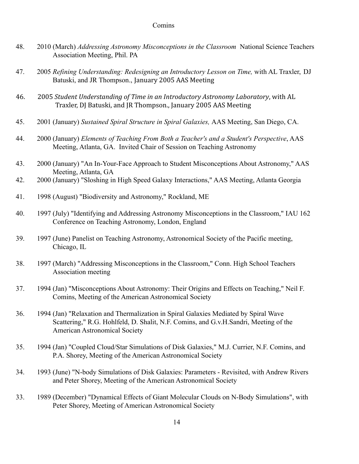- 48. 2010 (March) *Addressing Astronomy Misconceptions in the Classroom* National Science Teachers Association Meeting, Phil. PA
- 47. 2005 *Refining Understanding: Redesigning an Introductory Lesson on Time,* with AL Traxler, DJ Batuski, and JR Thompson., January 2005 AAS Meeting
- 46. 2005 *Student Understanding of Time in an Introductory Astronomy Laboratory*, with AL Traxler, DJ Batuski, and JR Thompson., January 2005 AAS Meeting
- 45. 2001 (January) *Sustained Spiral Structure in Spiral Galaxies,* AAS Meeting, San Diego, CA.
- 44. 2000 (January) *Elements of Teaching From Both a Teacher's and a Student's Perspective*, AAS Meeting, Atlanta, GA. Invited Chair of Session on Teaching Astronomy
- 43. 2000 (January) "An In-Your-Face Approach to Student Misconceptions About Astronomy," AAS Meeting, Atlanta, GA
- 42. 2000 (January) "Sloshing in High Speed Galaxy Interactions," AAS Meeting, Atlanta Georgia
- 41. 1998 (August) "Biodiversity and Astronomy," Rockland, ME
- 40. 1997 (July) "Identifying and Addressing Astronomy Misconceptions in the Classroom," IAU 162 Conference on Teaching Astronomy, London, England
- 39. 1997 (June) Panelist on Teaching Astronomy, Astronomical Society of the Pacific meeting, Chicago, IL
- 38. 1997 (March) "Addressing Misconceptions in the Classroom," Conn. High School Teachers Association meeting
- 37. 1994 (Jan) "Misconceptions About Astronomy: Their Origins and Effects on Teaching," Neil F. Comins, Meeting of the American Astronomical Society
- 36. 1994 (Jan) "Relaxation and Thermalization in Spiral Galaxies Mediated by Spiral Wave Scattering," R.G. Hohlfeld, D. Shalit, N.F. Comins, and G.v.H.Sandri, Meeting of the American Astronomical Society
- 35. 1994 (Jan) "Coupled Cloud/Star Simulations of Disk Galaxies," M.J. Currier, N.F. Comins, and P.A. Shorey, Meeting of the American Astronomical Society
- 34. 1993 (June) "N-body Simulations of Disk Galaxies: Parameters Revisited, with Andrew Rivers and Peter Shorey, Meeting of the American Astronomical Society
- 33. 1989 (December) "Dynamical Effects of Giant Molecular Clouds on N-Body Simulations", with Peter Shorey, Meeting of American Astronomical Society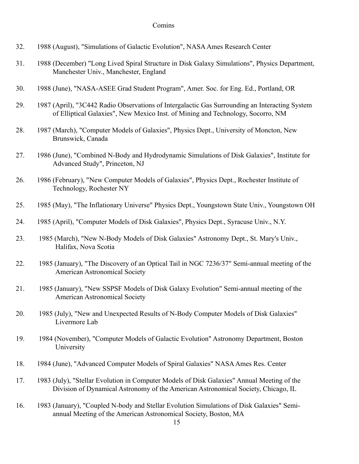- 32. 1988 (August), "Simulations of Galactic Evolution", NASA Ames Research Center
- 31. 1988 (December) "Long Lived Spiral Structure in Disk Galaxy Simulations", Physics Department, Manchester Univ., Manchester, England
- 30. 1988 (June), "NASA-ASEE Grad Student Program", Amer. Soc. for Eng. Ed., Portland, OR
- 29. 1987 (April), "3C442 Radio Observations of Intergalactic Gas Surrounding an Interacting System of Elliptical Galaxies", New Mexico Inst. of Mining and Technology, Socorro, NM
- 28. 1987 (March), "Computer Models of Galaxies", Physics Dept., University of Moncton, New Brunswick, Canada
- 27. 1986 (June), "Combined N-Body and Hydrodynamic Simulations of Disk Galaxies", Institute for Advanced Study", Princeton, NJ
- 26. 1986 (February), "New Computer Models of Galaxies", Physics Dept., Rochester Institute of Technology, Rochester NY
- 25. 1985 (May), "The Inflationary Universe" Physics Dept., Youngstown State Univ., Youngstown OH
- 24. 1985 (April), "Computer Models of Disk Galaxies", Physics Dept., Syracuse Univ., N.Y.
- 23. 1985 (March), "New N-Body Models of Disk Galaxies" Astronomy Dept., St. Mary's Univ., Halifax, Nova Scotia
- 22. 1985 (January), "The Discovery of an Optical Tail in NGC 7236/37" Semi-annual meeting of the American Astronomical Society
- 21. 1985 (January), "New SSPSF Models of Disk Galaxy Evolution" Semi-annual meeting of the American Astronomical Society
- 20. 1985 (July), "New and Unexpected Results of N-Body Computer Models of Disk Galaxies" Livermore Lab
- 19. 1984 (November), "Computer Models of Galactic Evolution" Astronomy Department, Boston University
- 18. 1984 (June), "Advanced Computer Models of Spiral Galaxies" NASA Ames Res. Center
- 17. 1983 (July), "Stellar Evolution in Computer Models of Disk Galaxies" Annual Meeting of the Division of Dynamical Astronomy of the American Astronomical Society, Chicago, IL
- 16. 1983 (January), "Coupled N-body and Stellar Evolution Simulations of Disk Galaxies" Semiannual Meeting of the American Astronomical Society, Boston, MA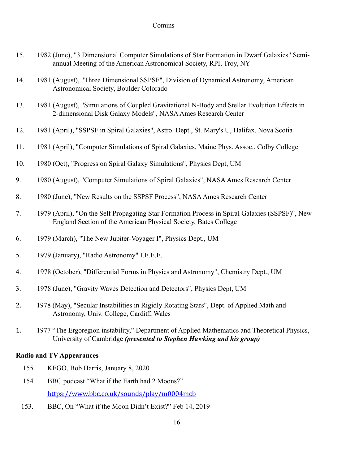- 15. 1982 (June), "3 Dimensional Computer Simulations of Star Formation in Dwarf Galaxies" Semiannual Meeting of the American Astronomical Society, RPI, Troy, NY
- 14. 1981 (August), "Three Dimensional SSPSF", Division of Dynamical Astronomy, American Astronomical Society, Boulder Colorado
- 13. 1981 (August), "Simulations of Coupled Gravitational N-Body and Stellar Evolution Effects in 2-dimensional Disk Galaxy Models", NASA Ames Research Center
- 12. 1981 (April), "SSPSF in Spiral Galaxies", Astro. Dept., St. Mary's U, Halifax, Nova Scotia
- 11. 1981 (April), "Computer Simulations of Spiral Galaxies, Maine Phys. Assoc., Colby College
- 10. 1980 (Oct), "Progress on Spiral Galaxy Simulations", Physics Dept, UM
- 9. 1980 (August), "Computer Simulations of Spiral Galaxies", NASA Ames Research Center
- 8. 1980 (June), "New Results on the SSPSF Process", NASA Ames Research Center
- 7. 1979 (April), "On the Self Propagating Star Formation Process in Spiral Galaxies (SSPSF)", New England Section of the American Physical Society, Bates College
- 6. 1979 (March), "The New Jupiter-Voyager I", Physics Dept., UM
- 5. 1979 (January), "Radio Astronomy" I.E.E.E.
- 4. 1978 (October), "Differential Forms in Physics and Astronomy", Chemistry Dept., UM
- 3. 1978 (June), "Gravity Waves Detection and Detectors", Physics Dept, UM
- 2. 1978 (May), "Secular Instabilities in Rigidly Rotating Stars", Dept. of Applied Math and Astronomy, Univ. College, Cardiff, Wales
- 1. 1977 "The Ergoregion instability," Department of Applied Mathematics and Theoretical Physics, University of Cambridge *(presented to Stephen Hawking and his group)*

## **Radio and TV Appearances**

- 155. KFGO, Bob Harris, January 8, 2020
- 154. BBC podcast "What if the Earth had 2 Moons?" <https://www.bbc.co.uk/sounds/play/m0004mcb>
- 153. BBC, On "What if the Moon Didn't Exist?" Feb 14, 2019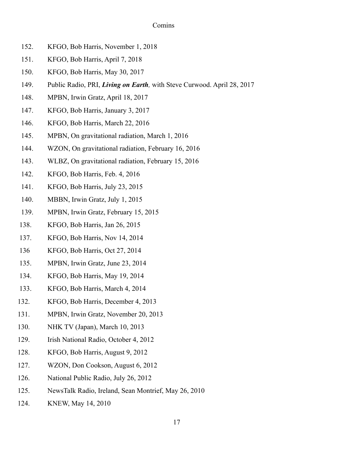- 152. KFGO, Bob Harris, November 1, 2018
- 151. KFGO, Bob Harris, April 7, 2018
- 150. KFGO, Bob Harris, May 30, 2017
- 149. Public Radio, PRI, *Living on Earth,* with Steve Curwood. April 28, 2017
- 148. MPBN, Irwin Gratz, April 18, 2017
- 147. KFGO, Bob Harris, January 3, 2017
- 146. KFGO, Bob Harris, March 22, 2016
- 145. MPBN, On gravitational radiation, March 1, 2016
- 144. WZON, On gravitational radiation, February 16, 2016
- 143. WLBZ, On gravitational radiation, February 15, 2016
- 142. KFGO, Bob Harris, Feb. 4, 2016
- 141. KFGO, Bob Harris, July 23, 2015
- 140. MBBN, Irwin Gratz, July 1, 2015
- 139. MPBN, Irwin Gratz, February 15, 2015
- 138. KFGO, Bob Harris, Jan 26, 2015
- 137. KFGO, Bob Harris, Nov 14, 2014
- 136 KFGO, Bob Harris, Oct 27, 2014
- 135. MPBN, Irwin Gratz, June 23, 2014
- 134. KFGO, Bob Harris, May 19, 2014
- 133. KFGO, Bob Harris, March 4, 2014
- 132. KFGO, Bob Harris, December 4, 2013
- 131. MPBN, Irwin Gratz, November 20, 2013
- 130. NHK TV (Japan), March 10, 2013
- 129. Irish National Radio, October 4, 2012
- 128. KFGO, Bob Harris, August 9, 2012
- 127. WZON, Don Cookson, August 6, 2012
- 126. National Public Radio, July 26, 2012
- 125. NewsTalk Radio, Ireland, Sean Montrief, May 26, 2010
- 124. KNEW, May 14, 2010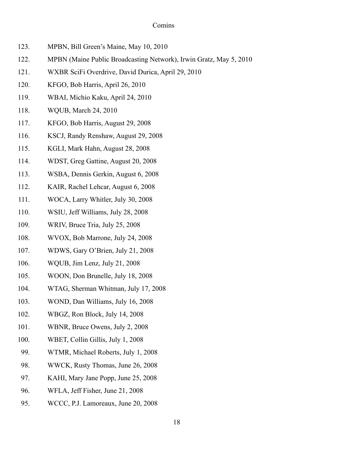- 123. MPBN, Bill Green's Maine, May 10, 2010
- 122. MPBN (Maine Public Broadcasting Network), Irwin Gratz, May 5, 2010
- 121. WXBR SciFi Overdrive, David Durica, April 29, 2010
- 120. KFGO, Bob Harris, April 26, 2010
- 119. WBAI, Michio Kaku, April 24, 2010
- 118. WQUB, March 24, 2010
- 117. KFGO, Bob Harris, August 29, 2008
- 116. KSCJ, Randy Renshaw, August 29, 2008
- 115. KGLI, Mark Hahn, August 28, 2008
- 114. WDST, Greg Gattine, August 20, 2008
- 113. WSBA, Dennis Gerkin, August 6, 2008
- 112. KAIR, Rachel Lehcar, August 6, 2008
- 111. WOCA, Larry Whitler, July 30, 2008
- 110. WSIU, Jeff Williams, July 28, 2008
- 109. WRIV, Bruce Tria, July 25, 2008
- 108. WVOX, Bob Marrone, July 24, 2008
- 107. WDWS, Gary O'Brien, July 21, 2008
- 106. WQUB, Jim Lenz, July 21, 2008
- 105. WOON, Don Brunelle, July 18, 2008
- 104. WTAG, Sherman Whitman, July 17, 2008
- 103. WOND, Dan Williams, July 16, 2008
- 102. WBGZ, Ron Block, July 14, 2008
- 101. WBNR, Bruce Owens, July 2, 2008
- 100. WBET, Collin Gillis, July 1, 2008
- 99. WTMR, Michael Roberts, July 1, 2008
- 98. WWCK, Rusty Thomas, June 26, 2008
- 97. KAHI, Mary Jane Popp, June 25, 2008
- 96. WFLA, Jeff Fisher, June 21, 2008
- 95. WCCC, P.J. Lamoreaux, June 20, 2008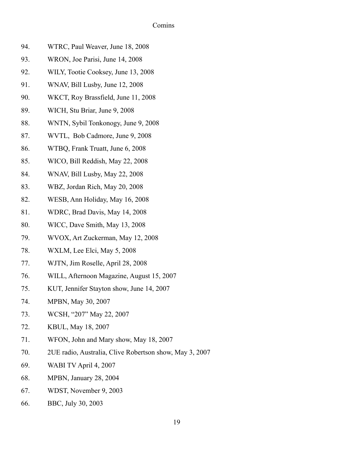| 94. | WTRC, Paul Weaver, June 18, 2008          |
|-----|-------------------------------------------|
| 93. | WRON, Joe Parisi, June 14, 2008           |
| 92. | WILY, Tootie Cooksey, June 13, 2008       |
| 91. | WNAV, Bill Lusby, June 12, 2008           |
| 90. | WKCT, Roy Brassfield, June 11, 2008       |
| 89. | WICH, Stu Briar, June 9, 2008             |
| 88. | WNTN, Sybil Tonkonogy, June 9, 2008       |
| 87. | WVTL, Bob Cadmore, June 9, 2008           |
| 86. | WTBQ, Frank Truatt, June 6, 2008          |
| 85. | WICO, Bill Reddish, May 22, 2008          |
| 84. | WNAV, Bill Lusby, May 22, 2008            |
| 83. | WBZ, Jordan Rich, May 20, 2008            |
| 82. | WESB, Ann Holiday, May 16, 2008           |
| 81. | WDRC, Brad Davis, May 14, 2008            |
| 80. | WICC, Dave Smith, May 13, 2008            |
| 79. | WVOX, Art Zuckerman, May 12, 2008         |
| 78. | WXLM, Lee Elci, May 5, 2008               |
| 77. | WJTN, Jim Roselle, April 28, 2008         |
| 76. | WILL, Afternoon Magazine, August 15, 2007 |
| 75. | KUT, Jennifer Stayton show, June 14, 2007 |
| 74. | MPBN, May 30, 2007                        |
| 73. | WCSH, "207" May 22, 2007                  |
| 72. | KBUL, May 18, 2007                        |
| 71. | WFON, John and Mary show, May 18, 2007    |

- 70. 2UE radio, Australia, Clive Robertson show, May 3, 2007
- 69. WABI TV April 4, 2007
- 68. MPBN, January 28, 2004
- 67. WDST, November 9, 2003
- 66. BBC, July 30, 2003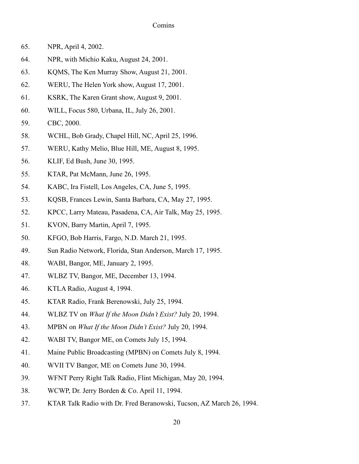- 65. NPR, April 4, 2002.
- 64. NPR, with Michio Kaku, August 24, 2001.
- 63. KQMS, The Ken Murray Show, August 21, 2001.
- 62. WERU, The Helen York show, August 17, 2001.
- 61. KSRK, The Karen Grant show, August 9, 2001.
- 60. WILL, Focus 580, Urbana, IL, July 26, 2001.
- 59. CBC, 2000.
- 58. WCHL, Bob Grady, Chapel Hill, NC, April 25, 1996.
- 57. WERU, Kathy Melio, Blue Hill, ME, August 8, 1995.
- 56. KLIF, Ed Bush, June 30, 1995.
- 55. KTAR, Pat McMann, June 26, 1995.
- 54. KABC, Ira Fistell, Los Angeles, CA, June 5, 1995.
- 53. KQSB, Frances Lewin, Santa Barbara, CA, May 27, 1995.
- 52. KPCC, Larry Mateau, Pasadena, CA, Air Talk, May 25, 1995.
- 51. KVON, Barry Martin, April 7, 1995.
- 50. KFGO, Bob Harris, Fargo, N.D. March 21, 1995.
- 49. Sun Radio Network, Florida, Stan Anderson, March 17, 1995.
- 48. WABI, Bangor, ME, January 2, 1995.
- 47. WLBZ TV, Bangor, ME, December 13, 1994.
- 46. KTLA Radio, August 4, 1994.
- 45. KTAR Radio, Frank Berenowski, July 25, 1994.
- 44. WLBZ TV on *What If the Moon Didn't Exist?* July 20, 1994.
- 43. MPBN on *What If the Moon Didn't Exist?* July 20, 1994.
- 42. WABI TV, Bangor ME, on Comets July 15, 1994.
- 41. Maine Public Broadcasting (MPBN) on Comets July 8, 1994.
- 40. WVII TV Bangor, ME on Comets June 30, 1994.
- 39. WFNT Perry Right Talk Radio, Flint Michigan, May 20, 1994.
- 38. WCWP, Dr. Jerry Borden & Co. April 11, 1994.
- 37. KTAR Talk Radio with Dr. Fred Beranowski, Tucson, AZ March 26, 1994.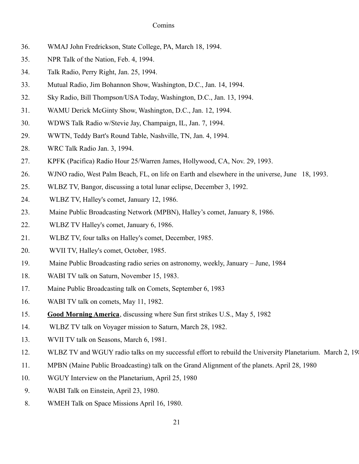- 36. WMAJ John Fredrickson, State College, PA, March 18, 1994.
- 35. NPR Talk of the Nation, Feb. 4, 1994.
- 34. Talk Radio, Perry Right, Jan. 25, 1994.
- 33. Mutual Radio, Jim Bohannon Show, Washington, D.C., Jan. 14, 1994.
- 32. Sky Radio, Bill Thompson/USA Today, Washington, D.C., Jan. 13, 1994.
- 31. WAMU Derick McGinty Show, Washington, D.C., Jan. 12, 1994.
- 30. WDWS Talk Radio w/Stevie Jay, Champaign, IL, Jan. 7, 1994.
- 29. WWTN, Teddy Bart's Round Table, Nashville, TN, Jan. 4, 1994.
- 28. WRC Talk Radio Jan. 3, 1994.
- 27. KPFK (Pacifica) Radio Hour 25/Warren James, Hollywood, CA, Nov. 29, 1993.
- 26. WJNO radio, West Palm Beach, FL, on life on Earth and elsewhere in the universe, June 18, 1993.
- 25. WLBZ TV, Bangor, discussing a total lunar eclipse, December 3, 1992.
- 24. WLBZ TV, Halley's comet, January 12, 1986.
- 23. Maine Public Broadcasting Network (MPBN), Halley's comet, January 8, 1986.
- 22. WLBZ TV Halley's comet, January 6, 1986.
- 21. WLBZ TV, four talks on Halley's comet, December, 1985.
- 20. WVII TV, Halley's comet, October, 1985.
- 19. Maine Public Broadcasting radio series on astronomy, weekly, January June, 1984
- 18. WABI TV talk on Saturn, November 15, 1983.
- 17. Maine Public Broadcasting talk on Comets, September 6, 1983
- 16. WABI TV talk on comets, May 11, 1982.
- 15. **Good Morning America**, discussing where Sun first strikes U.S., May 5, 1982
- 14. WLBZ TV talk on Voyager mission to Saturn, March 28, 1982.
- 13. WVII TV talk on Seasons, March 6, 1981.
- 12. WLBZ TV and WGUY radio talks on my successful effort to rebuild the University Planetarium. March 2, 198
- 11. MPBN (Maine Public Broadcasting) talk on the Grand Alignment of the planets. April 28, 1980
- 10. WGUY Interview on the Planetarium, April 25, 1980
- 9. WABI Talk on Einstein, April 23, 1980.
- 8. WMEH Talk on Space Missions April 16, 1980.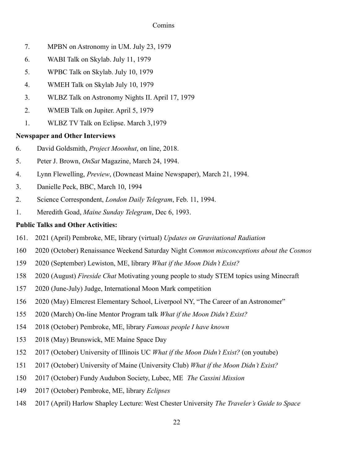- 7. MPBN on Astronomy in UM. July 23, 1979
- 6. WABI Talk on Skylab. July 11, 1979
- 5. WPBC Talk on Skylab. July 10, 1979
- 4. WMEH Talk on Skylab July 10, 1979
- 3. WLBZ Talk on Astronomy Nights II. April 17, 1979
- 2. WMEB Talk on Jupiter. April 5, 1979
- 1. WLBZ TV Talk on Eclipse. March 3,1979

# **Newspaper and Other Interviews**

- 6. David Goldsmith, *Project Moonhut*, on line, 2018.
- 5. Peter J. Brown, *OnSat* Magazine, March 24, 1994.
- 4. Lynn Flewelling, *Preview*, (Downeast Maine Newspaper), March 21, 1994.
- 3. Danielle Peck, BBC, March 10, 1994
- 2. Science Correspondent, *London Daily Telegram*, Feb. 11, 1994.
- 1. Meredith Goad, *Maine Sunday Telegram*, Dec 6, 1993.

# **Public Talks and Other Activities:**

- 161. 2021 (April) Pembroke, ME, library (virtual) *Updates on Gravitational Radiation*
- 160 2020 (October) Renaissance Weekend Saturday Night *Common misconceptions about the Cosmos*
- 159 2020 (September) Lewiston, ME, library *What if the Moon Didn't Exist?*
- 158 2020 (August) *Fireside Chat* Motivating young people to study STEM topics using Minecraft
- 157 2020 (June-July) Judge, International Moon Mark competition
- 156 2020 (May) Elmcrest Elementary School, Liverpool NY, "The Career of an Astronomer"
- 155 2020 (March) On-line Mentor Program talk *What if the Moon Didn't Exist?*
- 154 2018 (October) Pembroke, ME, library *Famous people I have known*
- 153 2018 (May) Brunswick, ME Maine Space Day
- 152 2017 (October) University of Illinois UC *What if the Moon Didn't Exist?* (on youtube)
- 151 2017 (October) University of Maine (University Club) *What if the Moon Didn't Exist?*
- 150 2017 (October) Fundy Audubon Society, Lubec, ME *The Cassini Mission*
- 149 2017 (October) Pembroke, ME, library *Eclipses*
- 148 2017 (April) Harlow Shapley Lecture: West Chester University *The Traveler's Guide to Space*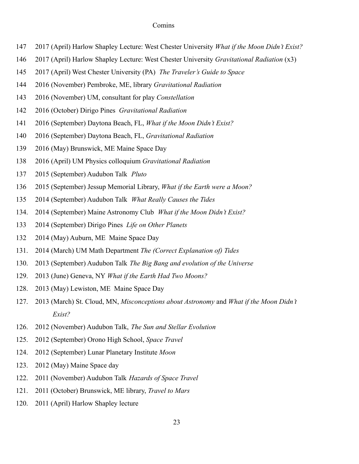- 147 2017 (April) Harlow Shapley Lecture: West Chester University *What if the Moon Didn't Exist?*
- 146 2017 (April) Harlow Shapley Lecture: West Chester University *Gravitational Radiation* (x3)
- 145 2017 (April) West Chester University (PA) *The Traveler's Guide to Space*
- 144 2016 (November) Pembroke, ME, library *Gravitational Radiation*
- 143 2016 (November) UM, consultant for play *Constellation*
- 142 2016 (October) Dirigo Pines *Gravitational Radiation*
- 141 2016 (September) Daytona Beach, FL, *What if the Moon Didn't Exist?*
- 140 2016 (September) Daytona Beach, FL, *Gravitational Radiation*
- 139 2016 (May) Brunswick, ME Maine Space Day
- 138 2016 (April) UM Physics colloquium *Gravitational Radiation*
- 137 2015 (September) Audubon Talk *Pluto*
- 136 2015 (September) Jessup Memorial Library, *What if the Earth were a Moon?*
- 135 2014 (September) Audubon Talk *What Really Causes the Tides*
- 134. 2014 (September) Maine Astronomy Club *What if the Moon Didn't Exist?*
- 133 2014 (September) Dirigo Pines *Life on Other Planets*
- 132 2014 (May) Auburn, ME Maine Space Day
- 131. 2014 (March) UM Math Department *The (Correct Explanation of) Tides*
- 130. 2013 (September) Audubon Talk *The Big Bang and evolution of the Universe*
- 129. 2013 (June) Geneva, NY *What if the Earth Had Two Moons?*
- 128. 2013 (May) Lewiston, ME Maine Space Day
- 127. 2013 (March) St. Cloud, MN, *Misconceptions about Astronomy* and *What if the Moon Didn't Exist?*
- 126. 2012 (November) Audubon Talk, *The Sun and Stellar Evolution*
- 125. 2012 (September) Orono High School, *Space Travel*
- 124. 2012 (September) Lunar Planetary Institute *Moon*
- 123. 2012 (May) Maine Space day
- 122. 2011 (November) Audubon Talk *Hazards of Space Travel*
- 121. 2011 (October) Brunswick, ME library, *Travel to Mars*
- 120. 2011 (April) Harlow Shapley lecture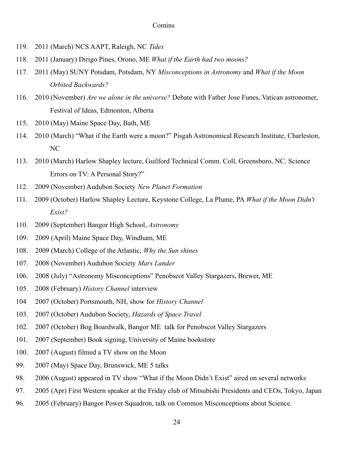- 119. 2011 (March) NCS AAPT, Raleigh, NC *Tides*
- 118. 2011 (January) Dirigo Pines, Orono, ME *What if the Earth had two moons?*
- 117. 2011 (May) SUNY Potsdam, Potsdam, NY *Misconceptions in Astronomy* and *What if the Moon Orbited Backwards?*
- 116. 2010 (November) *Are we alone in the universe?* Debate with Father Jose Funes, Vatican astronomer, Festival of Ideas, Edmonton, Alberta
- 115. 2010 (May) Maine Space Day, Bath, ME
- 114. 2010 (March) "What if the Earth were a moon?" Pisgah Astronomical Research Institute, Charleston, NC
- 113. 2010 (March) Harlow Shapley lecture, Guilford Technical Comm. Coll, Greensboro, NC. Science Errors on TV: A Personal Story?"
- 112. 2009 (November) Audubon Society *New Planet Formation*
- 111. 2009 (October) Harlow Shapley Lecture, Keystone College, La Plume, PA *What if the Moon Didn't Exist?*
- 110. 2009 (September) Bangor High School, *Astronomy*
- 109. 2009 (April) Maine Space Day, Windham, ME
- 108. 2009 (March) College of the Atlantic, *Why the Sun shines*
- 107. 2008 (November) Audubon Society *Mars Lander*
- 106. 2008 (July) "Astronomy Misconceptions" Penobscot Valley Stargazers, Brewer, ME
- 105. 2008 (February) *History Channel* interview
- 104 2007 (October) Portsmouth, NH, show for *History Channel*
- 103. 2007 (October) Audubon Society, *Hazards of Space Travel*
- 102. 2007 (October) Bog Boardwalk, Bangor ME talk for Penobscot Valley Stargazers
- 101. 2007 (September) Book signing, University of Maine bookstore
- 100. 2007 (August) filmed a TV show on the Moon
- 99. 2007 (May) Space Day, Brunswick, ME 5 talks
- 98. 2006 (August) appeared in TV show "What if the Moon Didn't Exist" aired on several networks
- 97. 2005 (Apr) First Western speaker at the Friday club of Mitsubishi Presidents and CEOs, Tokyo, Japan
- 96. 2005 (February) Bangor Power Squadron, talk on Common Misconceptions about Science.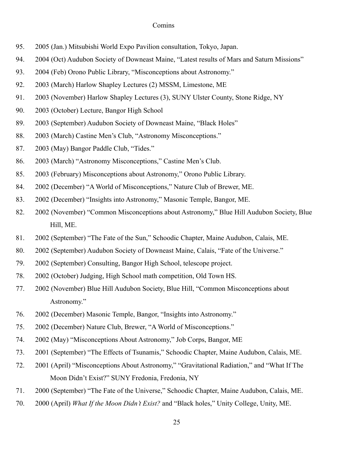- 95. 2005 (Jan.) Mitsubishi World Expo Pavilion consultation, Tokyo, Japan.
- 94. 2004 (Oct) Audubon Society of Downeast Maine, "Latest results of Mars and Saturn Missions"
- 93. 2004 (Feb) Orono Public Library, "Misconceptions about Astronomy."
- 92. 2003 (March) Harlow Shapley Lectures (2) MSSM, Limestone, ME
- 91. 2003 (November) Harlow Shapley Lectures (3), SUNY Ulster County, Stone Ridge, NY
- 90. 2003 (October) Lecture, Bangor High School
- 89. 2003 (September) Audubon Society of Downeast Maine, "Black Holes"
- 88. 2003 (March) Castine Men's Club, "Astronomy Misconceptions."
- 87. 2003 (May) Bangor Paddle Club, "Tides."
- 86. 2003 (March) "Astronomy Misconceptions," Castine Men's Club.
- 85. 2003 (February) Misconceptions about Astronomy," Orono Public Library.
- 84. 2002 (December) "A World of Misconceptions," Nature Club of Brewer, ME.
- 83. 2002 (December) "Insights into Astronomy," Masonic Temple, Bangor, ME.
- 82. 2002 (November) "Common Misconceptions about Astronomy," Blue Hill Audubon Society, Blue Hill, ME.
- 81. 2002 (September) "The Fate of the Sun," Schoodic Chapter, Maine Audubon, Calais, ME.
- 80. 2002 (September) Audubon Society of Downeast Maine, Calais, "Fate of the Universe."
- 79. 2002 (September) Consulting, Bangor High School, telescope project.
- 78. 2002 (October) Judging, High School math competition, Old Town HS.
- 77. 2002 (November) Blue Hill Audubon Society, Blue Hill, "Common Misconceptions about Astronomy."
- 76. 2002 (December) Masonic Temple, Bangor, "Insights into Astronomy."
- 75. 2002 (December) Nature Club, Brewer, "A World of Misconceptions."
- 74. 2002 (May) "Misconceptions About Astronomy," Job Corps, Bangor, ME
- 73. 2001 (September) "The Effects of Tsunamis," Schoodic Chapter, Maine Audubon, Calais, ME.
- 72. 2001 (April) "Misconceptions About Astronomy," "Gravitational Radiation," and "What If The Moon Didn't Exist?" SUNY Fredonia, Fredonia, NY
- 71. 2000 (September) "The Fate of the Universe," Schoodic Chapter, Maine Audubon, Calais, ME.
- 70. 2000 (April) *What If the Moon Didn't Exist?* and "Black holes," Unity College, Unity, ME.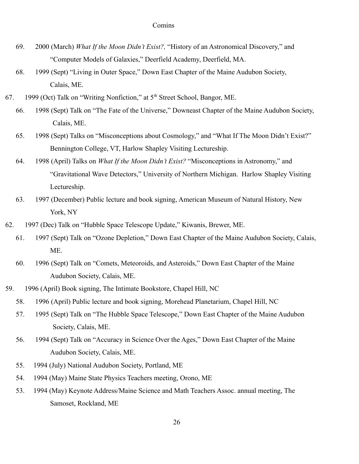- 69. 2000 (March) *What If the Moon Didn't Exist?,* "History of an Astronomical Discovery," and "Computer Models of Galaxies," Deerfield Academy, Deerfield, MA.
- 68. 1999 (Sept) "Living in Outer Space," Down East Chapter of the Maine Audubon Society, Calais, ME.
- 67. 1999 (Oct) Talk on "Writing Nonfiction," at  $5<sup>th</sup>$  Street School, Bangor, ME.
	- 66. 1998 (Sept) Talk on "The Fate of the Universe," Downeast Chapter of the Maine Audubon Society, Calais, ME.
	- 65. 1998 (Sept) Talks on "Misconceptions about Cosmology," and "What If The Moon Didn't Exist?" Bennington College, VT, Harlow Shapley Visiting Lectureship.
	- 64. 1998 (April) Talks on *What If the Moon Didn't Exist?* "Misconceptions in Astronomy," and "Gravitational Wave Detectors," University of Northern Michigan. Harlow Shapley Visiting Lectureship.
	- 63. 1997 (December) Public lecture and book signing, American Museum of Natural History, New York, NY
- 62. 1997 (Dec) Talk on "Hubble Space Telescope Update," Kiwanis, Brewer, ME.
	- 61. 1997 (Sept) Talk on "Ozone Depletion," Down East Chapter of the Maine Audubon Society, Calais, ME.
	- 60. 1996 (Sept) Talk on "Comets, Meteoroids, and Asteroids," Down East Chapter of the Maine Audubon Society, Calais, ME.
- 59. 1996 (April) Book signing, The Intimate Bookstore, Chapel Hill, NC
	- 58. 1996 (April) Public lecture and book signing, Morehead Planetarium, Chapel Hill, NC
	- 57. 1995 (Sept) Talk on "The Hubble Space Telescope," Down East Chapter of the Maine Audubon Society, Calais, ME.
	- 56. 1994 (Sept) Talk on "Accuracy in Science Over the Ages," Down East Chapter of the Maine Audubon Society, Calais, ME.
	- 55. 1994 (July) National Audubon Society, Portland, ME
	- 54. 1994 (May) Maine State Physics Teachers meeting, Orono, ME
	- 53. 1994 (May) Keynote Address/Maine Science and Math Teachers Assoc. annual meeting, The Samoset, Rockland, ME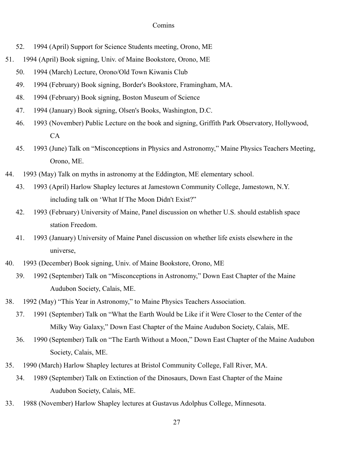- 52. 1994 (April) Support for Science Students meeting, Orono, ME
- 51. 1994 (April) Book signing, Univ. of Maine Bookstore, Orono, ME
	- 50. 1994 (March) Lecture, Orono/Old Town Kiwanis Club
	- 49. 1994 (February) Book signing, Border's Bookstore, Framingham, MA.
	- 48. 1994 (February) Book signing, Boston Museum of Science
	- 47. 1994 (January) Book signing, Olsen's Books, Washington, D.C.
	- 46. 1993 (November) Public Lecture on the book and signing, Griffith Park Observatory, Hollywood, CA
	- 45. 1993 (June) Talk on "Misconceptions in Physics and Astronomy," Maine Physics Teachers Meeting, Orono, ME.
- 44. 1993 (May) Talk on myths in astronomy at the Eddington, ME elementary school.
	- 43. 1993 (April) Harlow Shapley lectures at Jamestown Community College, Jamestown, N.Y. including talk on 'What If The Moon Didn't Exist?"
	- 42. 1993 (February) University of Maine, Panel discussion on whether U.S. should establish space station Freedom.
	- 41. 1993 (January) University of Maine Panel discussion on whether life exists elsewhere in the universe,
- 40. 1993 (December) Book signing, Univ. of Maine Bookstore, Orono, ME
	- 39. 1992 (September) Talk on "Misconceptions in Astronomy," Down East Chapter of the Maine Audubon Society, Calais, ME.
- 38. 1992 (May) "This Year in Astronomy," to Maine Physics Teachers Association.
	- 37. 1991 (September) Talk on "What the Earth Would be Like if it Were Closer to the Center of the Milky Way Galaxy," Down East Chapter of the Maine Audubon Society, Calais, ME.
	- 36. 1990 (September) Talk on "The Earth Without a Moon," Down East Chapter of the Maine Audubon Society, Calais, ME.
- 35. 1990 (March) Harlow Shapley lectures at Bristol Community College, Fall River, MA.
	- 34. 1989 (September) Talk on Extinction of the Dinosaurs, Down East Chapter of the Maine Audubon Society, Calais, ME.
- 33. 1988 (November) Harlow Shapley lectures at Gustavus Adolphus College, Minnesota.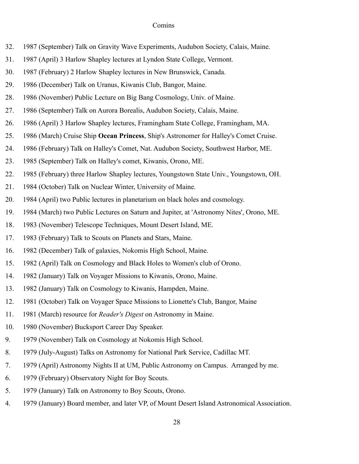- 32. 1987 (September) Talk on Gravity Wave Experiments, Audubon Society, Calais, Maine.
- 31. 1987 (April) 3 Harlow Shapley lectures at Lyndon State College, Vermont.
- 30. 1987 (February) 2 Harlow Shapley lectures in New Brunswick, Canada.
- 29. 1986 (December) Talk on Uranus, Kiwanis Club, Bangor, Maine.
- 28. 1986 (November) Public Lecture on Big Bang Cosmology, Univ. of Maine.
- 27. 1986 (September) Talk on Aurora Borealis, Audubon Society, Calais, Maine.
- 26. 1986 (April) 3 Harlow Shapley lectures, Framingham State College, Framingham, MA.
- 25. 1986 (March) Cruise Ship **Ocean Princess**, Ship's Astronomer for Halley's Comet Cruise.
- 24. 1986 (February) Talk on Halley's Comet, Nat. Audubon Society, Southwest Harbor, ME.
- 23. 1985 (September) Talk on Halley's comet, Kiwanis, Orono, ME.
- 22. 1985 (February) three Harlow Shapley lectures, Youngstown State Univ., Youngstown, OH.
- 21. 1984 (October) Talk on Nuclear Winter, University of Maine.
- 20. 1984 (April) two Public lectures in planetarium on black holes and cosmology.
- 19. 1984 (March) two Public Lectures on Saturn and Jupiter, at 'Astronomy Nites', Orono, ME.
- 18. 1983 (November) Telescope Techniques, Mount Desert Island, ME.
- 17. 1983 (February) Talk to Scouts on Planets and Stars, Maine.
- 16. 1982 (December) Talk of galaxies, Nokomis High School, Maine.
- 15. 1982 (April) Talk on Cosmology and Black Holes to Women's club of Orono.
- 14. 1982 (January) Talk on Voyager Missions to Kiwanis, Orono, Maine.
- 13. 1982 (January) Talk on Cosmology to Kiwanis, Hampden, Maine.
- 12. 1981 (October) Talk on Voyager Space Missions to Lionette's Club, Bangor, Maine
- 11. 1981 (March) resource for *Reader's Digest* on Astronomy in Maine.
- 10. 1980 (November) Bucksport Career Day Speaker.
- 9. 1979 (November) Talk on Cosmology at Nokomis High School.
- 8. 1979 (July-August) Talks on Astronomy for National Park Service, Cadillac MT.
- 7. 1979 (April) Astronomy Nights II at UM, Public Astronomy on Campus. Arranged by me.
- 6. 1979 (February) Observatory Night for Boy Scouts.
- 5. 1979 (January) Talk on Astronomy to Boy Scouts, Orono.
- 4. 1979 (January) Board member, and later VP, of Mount Desert Island Astronomical Association.